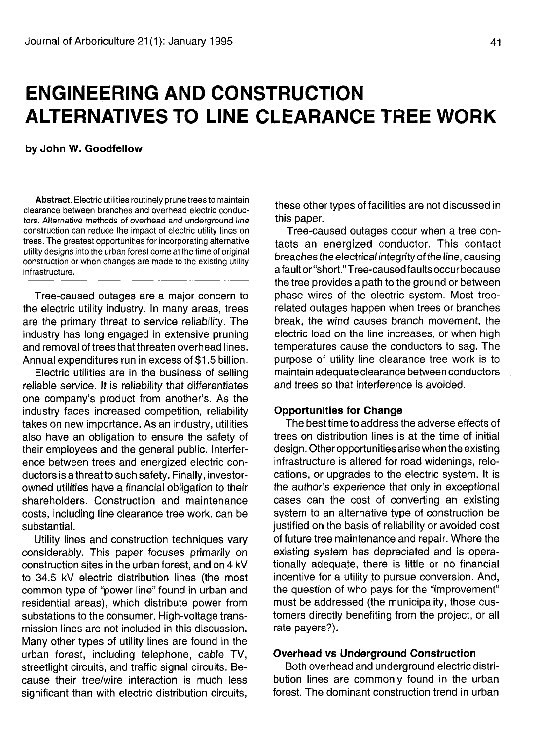# **ENGINEERING AND CONSTRUCTION ALTERNATIVES TO LINE CLEARANCE TREE WORK**

**by John W. Goodfellow**

**Abstract.** Electric utilities routinely prune trees to maintain clearance between branches and overhead electric conductors. Alternative methods of overhead and underground line construction can reduce the impact of electric utility lines on trees. The greatest opportunities for incorporating alternative utility designs into the urban forest come at the time of original construction or when changes are made to the existing utility infrastructure.

Tree-caused outages are a major concern to the electric utility industry. In many areas, trees are the primary threat to service reliability. The industry has long engaged in extensive pruning and removal of trees that threaten overhead lines. Annual expenditures run in excess of \$1.5 billion.

Electric utilities are in the business of selling reliable service. It is reliability that differentiates one company's product from another's. As the industry faces increased competition, reliability takes on new importance. As an industry, utilities also have an obligation to ensure the safety of their employees and the general public. Interference between trees and energized electric conductors is a threat to such safety. Finally, investorowned utilities have a financial obligation to their shareholders. Construction and maintenance costs, including line clearance tree work, can be substantial.

Utility lines and construction techniques vary considerably. This paper focuses primarily on construction sites in the urban forest, and on 4 kV to 34.5 kV electric distribution lines (the most common type of "power line" found in urban and residential areas), which distribute power from substations to the consumer. High-voltage transmission lines are not included in this discussion. Many other types of utility lines are found in the urban forest, including telephone, cable TV, streetlight circuits, and traffic signal circuits. Because their tree/wire interaction is much less significant than with electric distribution circuits,

these other types of facilities are not discussed in this paper.

Tree-caused outages occur when a tree contacts an energized conductor. This contact breaches the electrical integrity of the line, causing a fault or "short." Tree-caused fau Its occu r because the tree provides a path to the ground or between phase wires of the electric system. Most treerelated outages happen when trees or branches break, the wind causes branch movement, the electric load on the line increases, or when high temperatures cause the conductors to sag. The purpose of utility line clearance tree work is to maintain adequate clearance between conductors and trees so that interference is avoided.

### **Opportunities for Change**

The best time to address the adverse effects of trees on distribution lines is at the time of initial design. Other opportunities arise when the existing infrastructure is altered for road widenings, relocations, or upgrades to the electric system. It is the author's experience that only in exceptional cases can the cost of converting an existing system to an alternative type of construction be justified on the basis of reliability or avoided cost of future tree maintenance and repair. Where the existing system has depreciated and is operationally adequate, there is little or no financial incentive for a utility to pursue conversion. And, the question of who pays for the "improvement" must be addressed (the municipality, those customers directly benefiting from the project, or all rate payers?).

# **Overhead vs Underground Construction**

Both overhead and underground electric distribution lines are commonly found in the urban forest. The dominant construction trend in urban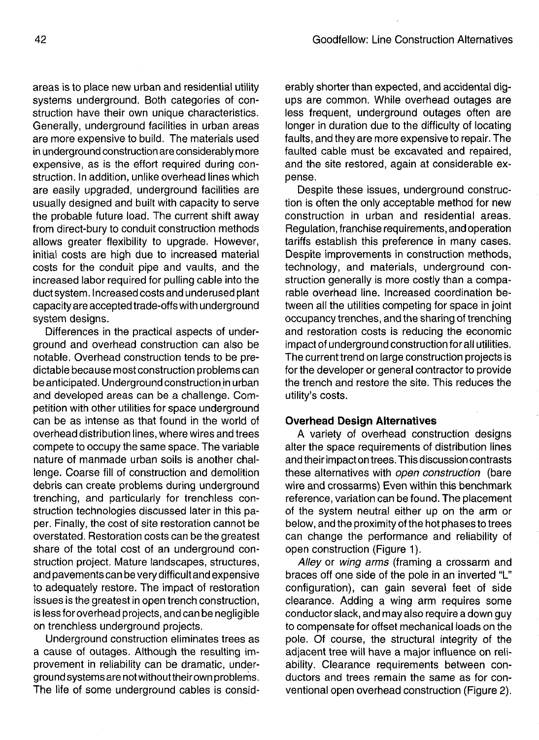areas is to place new urban and residential utility systems underground. Both categories of construction have their own unique characteristics. Generally, underground facilities in urban areas are more expensive to build. The materials used in underground construction are considerably more expensive, as is the effort required during construction. In addition, unlike overhead lines which are easily upgraded, underground facilities are usually designed and built with capacity to serve the probable future load. The current shift away from direct-bury to conduit construction methods allows greater flexibility to upgrade. However, initial costs are high due to increased material costs for the conduit pipe and vaults, and the increased labor required for pulling cable into the duct system. Increased costs and underused plant capacity are accepted trade-offs with underground system designs.

Differences in the practical aspects of underground and overhead construction can also be notable. Overhead construction tends to be predictable because most construction problems can be anticipated. Underground construction in urban and developed areas can be a challenge. Competition with other utilities for space underground can be as intense as that found in the world of overhead distribution lines, where wires and trees compete to occupy the same space. The variable nature of manmade urban soils is another challenge. Coarse fill of construction and demolition debris can create problems during underground trenching, and particularly for trenchless construction technologies discussed later in this paper. Finally, the cost of site restoration cannot be overstated. Restoration costs can be the greatest share of the total cost of an underground construction project. Mature landscapes, structures, and pavements can be very difficult and expensive to adequately restore. The impact of restoration issues is the greatest in open trench construction, is less for overhead projects, and can be negligible on trenchless underground projects.

Underground construction eliminates trees as a cause of outages. Although the resulting improvement in reliability can be dramatic, underground systemsare not without theirown problems. The life of some underground cables is considerably shorter than expected, and accidental digups are common. While overhead outages are less frequent, underground outages often are longer in duration due to the difficulty of locating faults, and they are more expensive to repair. The faulted cable must be excavated and repaired, and the site restored, again at considerable expense.

Despite these issues, underground construction is often the only acceptable method for new construction in urban and residential areas. Regulation, franchise requirements, and operation tariffs establish this preference in many cases. Despite improvements in construction methods, technology, and materials, underground construction generally is more costly than a comparable overhead line. Increased coordination between all the utilities competing for space in joint occupancy trenches, and the sharing of trenching and restoration costs is reducing the economic impact of underground construction for all utilities. The current trend on large construction projects is for the developer or general contractor to provide the trench and restore the site. This reduces the utility's costs.

## **Overhead Design Alternatives**

A variety of overhead construction designs alter the space requirements of distribution lines and their impact on trees. This discussion contrasts these alternatives with open construction (bare wire and crossarms) Even within this benchmark reference, variation can be found. The placement of the system neutral either up on the arm or below, and the proximity of the hot phases to trees can change the performance and reliability of open construction (Figure 1).

Alley or wing arms (framing a crossarm and braces off one side of the pole in an inverted "L" configuration), can gain several feet of side clearance. Adding a wing arm requires some conductor slack, and may also require a down guy to compensate for offset mechanical loads on the pole. Of course, the structural integrity of the adjacent tree will have a major influence on reliability. Clearance requirements between conductors and trees remain the same as for conventional open overhead construction (Figure 2).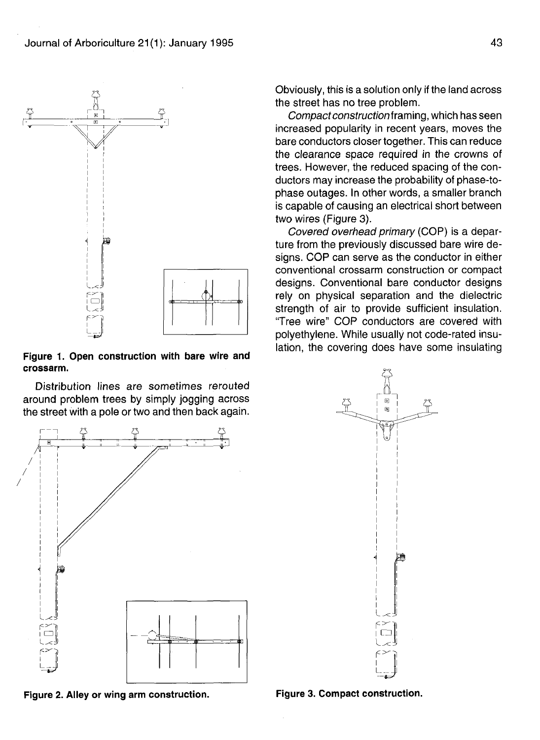

**Figure 1. Open construction with bare wire and crossarm.**

Distribution lines are sometimes rerouted around problem trees by simply jogging across the street with a pole or two and then back again.



**Figure 2. Alley or wing arm construction. Figure 3. Compact construction.**

Obviously, this is a solution only if the land across the street has no tree problem.

Compact construction framing, which has seen increased popularity in recent years, moves the bare conductors closer together. This can reduce the clearance space required in the crowns of trees. However, the reduced spacing of the conductors may increase the probability of phase-tophase outages. In other words, a smaller branch is capable of causing an electrical short between two wires (Figure 3).

Covered overhead primary (COP) is a departure from the previously discussed bare wire designs. COP can serve as the conductor in either conventional crossarm construction or compact designs. Conventional bare conductor designs rely on physical separation and the dielectric strength of air to provide sufficient insulation. "Tree wire" COP conductors are covered with polyethylene. While usually not code-rated insulation, the covering does have some insulating

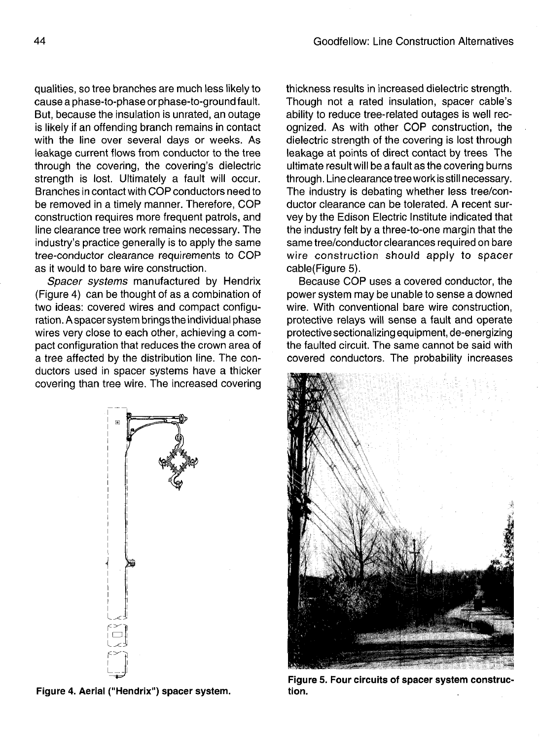qualities, so tree branches are much less likely to cause a phase-to-phase or phase-to-ground fault. But, because the insulation is unrated, an outage is likely if an offending branch remains in contact with the line over several days or weeks. As leakage current flows from conductor to the tree through the covering, the covering's dielectric strength is lost. Ultimately a fault will occur. Branches in contact with COP conductors need to be removed in a timely manner. Therefore, COP construction requires more frequent patrols, and line clearance tree work remains necessary. The industry's practice generally is to apply the same tree-conductor clearance requirements to COP as it would to bare wire construction.

Spacer systems manufactured by Hendrix (Figure 4) can be thought of as a combination of two ideas: covered wires and compact configuration. A spacer system brings the individual phase wires very close to each other, achieving a compact configuration that reduces the crown area of a tree affected by the distribution line. The conductors used in spacer systems have a thicker covering than tree wire. The increased covering



**Figure 4. Aerial ("Hendrix") spacer system.**

thickness results in increased dielectric strength. Though not a rated insulation, spacer cable's ability to reduce tree-related outages is well recognized. As with other COP construction, the dielectric strength of the covering is lost through leakage at points of direct contact by trees The ultimate result will be a fault as the covering burns through. Line clearance tree work is still necessary. The industry is debating whether less tree/conductor clearance can be tolerated. A recent survey by the Edison Electric Institute indicated that the industry felt by a three-to-one margin that the same tree/conductor clearances required on bare wire construction should apply to spacer cable(Figure 5).

Because COP uses a covered conductor, the power system may be unable to sense a downed wire. With conventional bare wire construction, protective relays will sense a fault and operate protective sectionalizing equipment, de-energizing the faulted circuit. The same cannot be said with covered conductors. The probability increases



**Figure 5. Four circuits of spacer system construction.**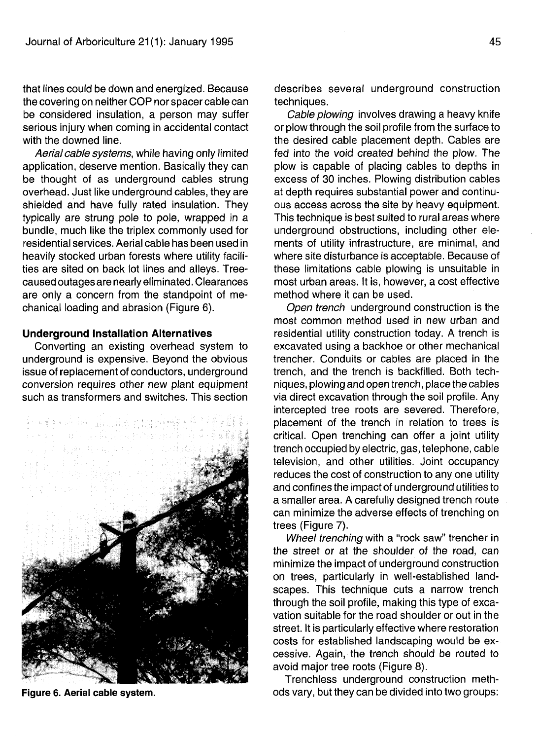that lines could be down and energized. Because the covering on neither COP nor spacer cable can be considered insulation, a person may suffer serious injury when coming in accidental contact with the downed line.

Aerial cable systems, while having only limited application, deserve mention. Basically they can be thought of as underground cables strung overhead. Just like underground cables, they are shielded and have fully rated insulation. They typically are strung pole to pole, wrapped in a bundle, much like the triplex commonly used for residential services. Aerial cable has been used in heavily stocked urban forests where utility facilities are sited on back lot lines and alleys. Treecaused outagesare nearly eliminated. Clearances are only a concern from the standpoint of mechanical loading and abrasion (Figure 6).

#### **Underground Installation Alternatives**

Converting an existing overhead system to underground is expensive. Beyond the obvious issue of replacement of conductors, underground conversion requires other new plant equipment such as transformers and switches. This section



**Figure 6. Aerial cable system.**

describes several underground construction techniques.

Cable plowing involves drawing a heavy knife or plow through the soil profile from the surface to the desired cable placement depth. Cables are fed into the void created behind the plow. The plow is capable of placing cables to depths in excess of 30 inches. Plowing distribution cables at depth requires substantial power and continuous access across the site by heavy equipment. This technique is best suited to rural areas where underground obstructions, including other elements of utility infrastructure, are minimal, and where site disturbance is acceptable. Because of these limitations cable plowing is unsuitable in most urban areas. It is, however, a cost effective method where it can be used.

Open trench underground construction is the most common method used in new urban and residential utility construction today. A trench is excavated using a backhoe or other mechanical trencher. Conduits or cables are placed in the trench, and the trench is backfilled. Both techniques, plowing and open trench, place the cables via direct excavation through the soil profile. Any intercepted tree roots are severed. Therefore, placement of the trench in relation to trees is critical. Open trenching can offer a joint utility trench occupied by electric, gas, telephone, cable television, and other utilities. Joint occupancy reduces the cost of construction to any one utility and confines the impact of underground utilities to a smaller area. A carefully designed trench route can minimize the adverse effects of trenching on trees (Figure 7).

Wheel trenching with a "rock saw" trencher in the street or at the shoulder of the road, can minimize the impact of underground construction on trees, particularly in well-established landscapes. This technique cuts a narrow trench through the soil profile, making this type of excavation suitable for the road shoulder or out in the street. It is particularly effective where restoration costs for established landscaping would be excessive. Again, the trench should be routed to avoid major tree roots (Figure 8).

Trenchless underground construction methods vary, but they can be divided into two groups: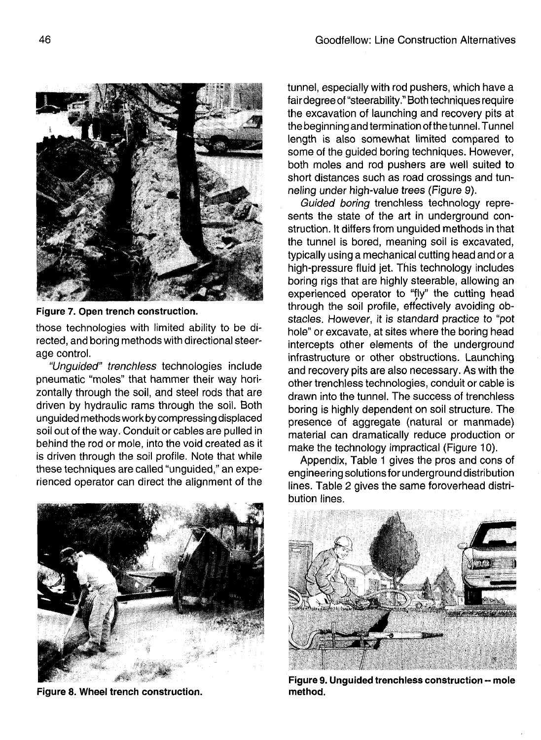

**Figure 7. Open trench construction.**

those technologies with limited ability to be directed, and boring methods with directional steerage control.

"Unguided" trenchless technologies include pneumatic "moles" that hammer their way horizontally through the soil, and steel rods that are driven by hydraulic rams through the soil. Both unguided methods work by compressing displaced soil out of the way. Conduit or cables are pulled in behind the rod or mole, into the void created as it is driven through the soil profile. Note that while these techniques are called "unguided," an experienced operator can direct the alignment of the



**Figure 8. Wheel trench construction.**

tunnel, especially with rod pushers, which have a fairdegree of "steerability." Both techniques require the excavation of launching and recovery pits at the beginning and termination of the tunnel. Tunnel length is also somewhat limited compared to some of the guided boring techniques. However, both moles and rod pushers are well suited to short distances such as road crossings and tunneling under high-value trees (Figure 9).

Guided boring trenchless technology represents the state of the art in underground construction. It differs from unguided methods in that the tunnel is bored, meaning soil is excavated, typically using a mechanical cutting head and or a high-pressure fluid jet. This technology includes boring rigs that are highly steerable, allowing an experienced operator to "fly" the cutting head through the soil profile, effectively avoiding obstacles. However, it is standard practice to "pot hole" or excavate, at sites where the boring head intercepts other elements of the underground infrastructure or other obstructions. Launching and recovery pits are also necessary. As with the other trenchless technologies, conduit or cable is drawn into the tunnel. The success of trenchless boring is highly dependent on soil structure. The presence of aggregate (natural or manmade) material can dramatically reduce production or make the technology impractical (Figure 10).

Appendix, Table 1 gives the pros and cons of engineering solutions for underground distribution lines. Table 2 gives the same foroverhead distribution lines.



**Figure 9. Unguided trenchless construction - mole method.**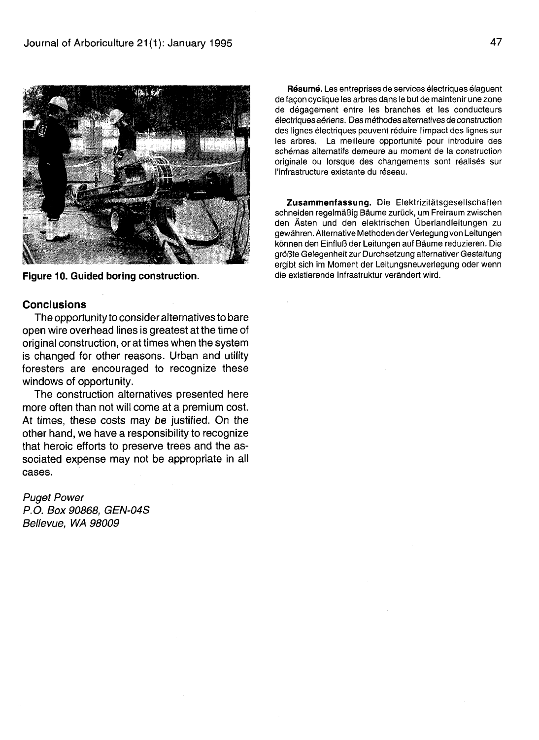

**Figure 10. Guided boring construction.**

### **Conclusions**

The opportunity to consider alternatives to bare open wire overhead lines is greatest at the time of original construction, or at times when the system is changed for other reasons. Urban and utility foresters are encouraged to recognize these windows of opportunity.

The construction alternatives presented here more often than not will come at a premium cost. At times, these costs may be justified. On the other hand, we have a responsibility to recognize that heroic efforts to preserve trees and the associated expense may not be appropriate in all cases.

# Puget Power P.O. Box 90868, GEN-04S Bellevue, WA 98009

**Resume.** Les entreprises de services electriques elaguent de facon cyclique les arbres dans le but de maintenir une zone de degagement entre les branches et les conducteurs electriques aeriens. Des methodes alternatives de construction des lignes électriques peuvent réduire l'impact des lignes sur les arbres. La meilleure opportunité pour introduire des schemas alternatifs demeure au moment de la construction originale ou lorsque des changements sont réalisés sur I'infrastructure existante du reseau.

**Zusammenfassung.** Die Elektrizitatsgesellschaften schneiden regelmäßig Bäume zurück, um Freiraum zwischen den Asten und den elektrischen Uberlandleitungen zu gewahren. Alternative Methoden der Verlegung von Leitungen konnen den EinfluB der Leitungen auf Baume reduzieren. Die größte Gelegenheit zur Durchsetzung alternativer Gestaltung ergibt sich im Moment der Leitungsneuverlegung oder wenn die existierende Infrastruktur verandert wird.